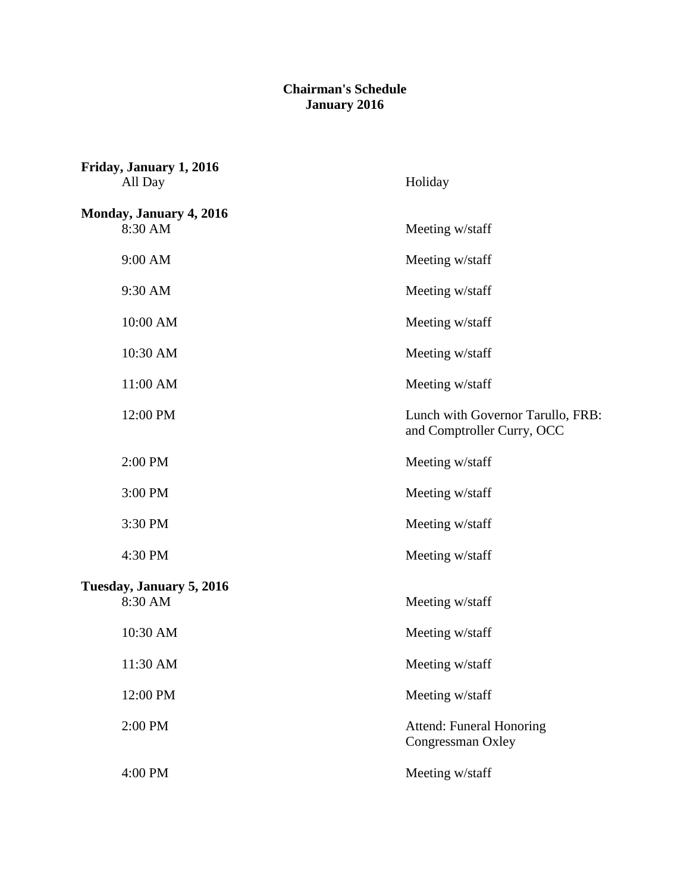## **Chairman's Schedule January 2016**

| Friday, January 1, 2016<br>All Day | Holiday                                                         |
|------------------------------------|-----------------------------------------------------------------|
| Monday, January 4, 2016            |                                                                 |
| 8:30 AM                            | Meeting w/staff                                                 |
| 9:00 AM                            | Meeting w/staff                                                 |
| 9:30 AM                            | Meeting w/staff                                                 |
| 10:00 AM                           | Meeting w/staff                                                 |
| 10:30 AM                           | Meeting w/staff                                                 |
| 11:00 AM                           | Meeting w/staff                                                 |
| 12:00 PM                           | Lunch with Governor Tarullo, FRB:<br>and Comptroller Curry, OCC |
| 2:00 PM                            | Meeting w/staff                                                 |
| 3:00 PM                            | Meeting w/staff                                                 |
| 3:30 PM                            | Meeting w/staff                                                 |
| 4:30 PM                            | Meeting w/staff                                                 |
| Tuesday, January 5, 2016           |                                                                 |
| 8:30 AM                            | Meeting w/staff                                                 |
| 10:30 AM                           | Meeting w/staff                                                 |
| 11:30 AM                           | Meeting w/staff                                                 |
| 12:00 PM                           | Meeting w/staff                                                 |
| 2:00 PM                            | <b>Attend: Funeral Honoring</b><br>Congressman Oxley            |
| 4:00 PM                            | Meeting w/staff                                                 |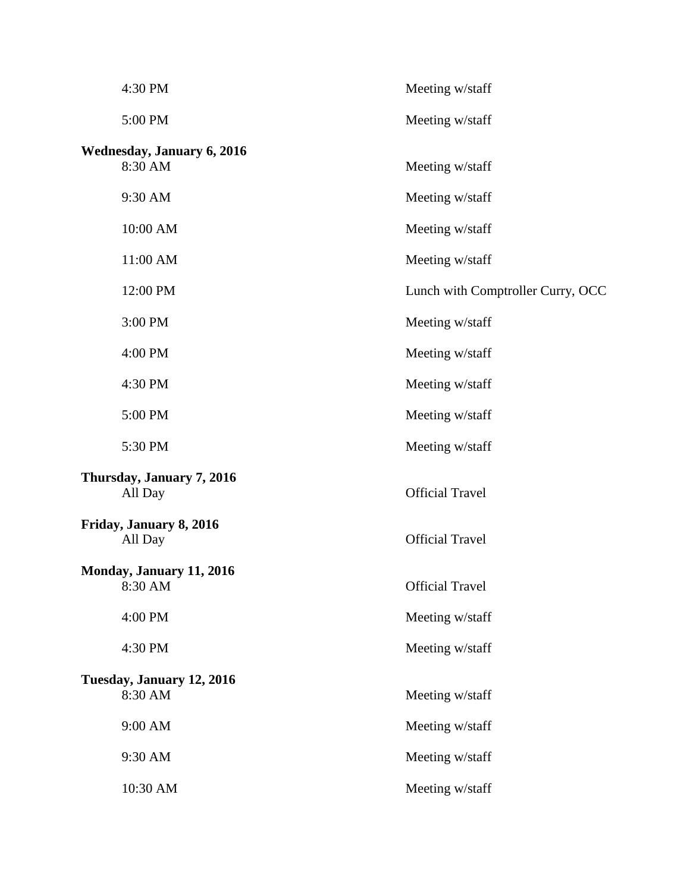| 4:30 PM                                      | Meeting w/staff                   |
|----------------------------------------------|-----------------------------------|
| 5:00 PM                                      | Meeting w/staff                   |
| <b>Wednesday, January 6, 2016</b><br>8:30 AM | Meeting w/staff                   |
| 9:30 AM                                      | Meeting w/staff                   |
| 10:00 AM                                     | Meeting w/staff                   |
| 11:00 AM                                     | Meeting w/staff                   |
| 12:00 PM                                     | Lunch with Comptroller Curry, OCC |
| 3:00 PM                                      | Meeting w/staff                   |
| 4:00 PM                                      | Meeting w/staff                   |
| 4:30 PM                                      | Meeting w/staff                   |
| 5:00 PM                                      | Meeting w/staff                   |
| 5:30 PM                                      | Meeting w/staff                   |
| Thursday, January 7, 2016<br>All Day         | <b>Official Travel</b>            |
| Friday, January 8, 2016<br>All Day           | <b>Official Travel</b>            |
| Monday, January 11, 2016<br>8:30 AM          | <b>Official Travel</b>            |
| 4:00 PM                                      | Meeting w/staff                   |
| 4:30 PM                                      | Meeting w/staff                   |
| Tuesday, January 12, 2016<br>8:30 AM         | Meeting w/staff                   |
| 9:00 AM                                      | Meeting w/staff                   |
| 9:30 AM                                      | Meeting w/staff                   |
| 10:30 AM                                     | Meeting w/staff                   |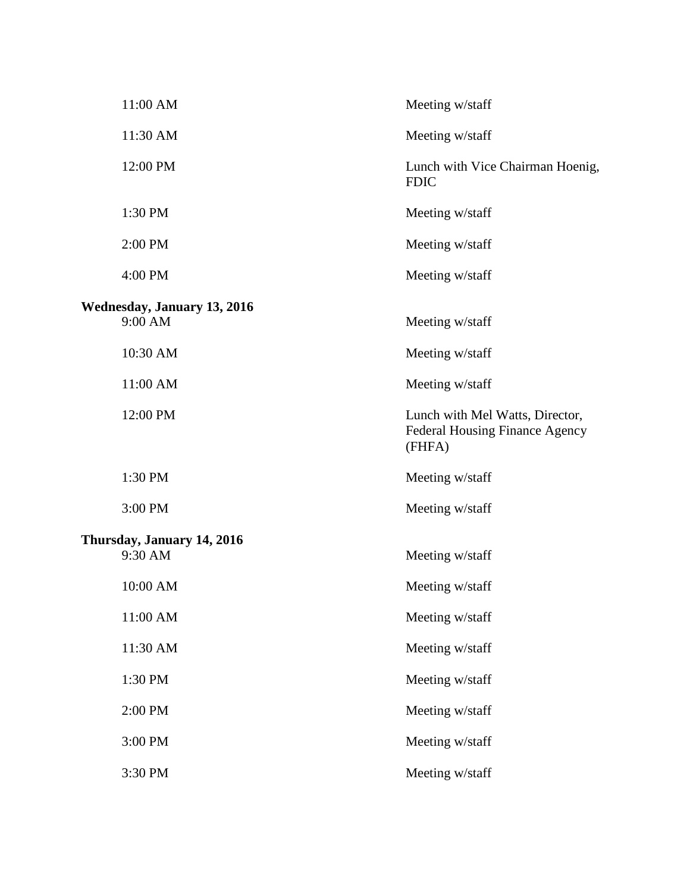| 11:00 AM                                      | Meeting w/staff                                                                    |
|-----------------------------------------------|------------------------------------------------------------------------------------|
| 11:30 AM                                      | Meeting w/staff                                                                    |
| 12:00 PM                                      | Lunch with Vice Chairman Hoenig,<br><b>FDIC</b>                                    |
| 1:30 PM                                       | Meeting w/staff                                                                    |
| 2:00 PM                                       | Meeting w/staff                                                                    |
| 4:00 PM                                       | Meeting w/staff                                                                    |
| <b>Wednesday, January 13, 2016</b><br>9:00 AM | Meeting w/staff                                                                    |
| 10:30 AM                                      | Meeting w/staff                                                                    |
| 11:00 AM                                      | Meeting w/staff                                                                    |
| 12:00 PM                                      | Lunch with Mel Watts, Director,<br><b>Federal Housing Finance Agency</b><br>(FHFA) |
| 1:30 PM                                       | Meeting w/staff                                                                    |
| 3:00 PM                                       | Meeting w/staff                                                                    |
| Thursday, January 14, 2016<br>9:30 AM         | Meeting w/staff                                                                    |
| 10:00 AM                                      | Meeting w/staff                                                                    |
| 11:00 AM                                      | Meeting w/staff                                                                    |
| 11:30 AM                                      | Meeting w/staff                                                                    |
| 1:30 PM                                       | Meeting w/staff                                                                    |
| 2:00 PM                                       | Meeting w/staff                                                                    |
| 3:00 PM                                       | Meeting w/staff                                                                    |
| 3:30 PM                                       | Meeting w/staff                                                                    |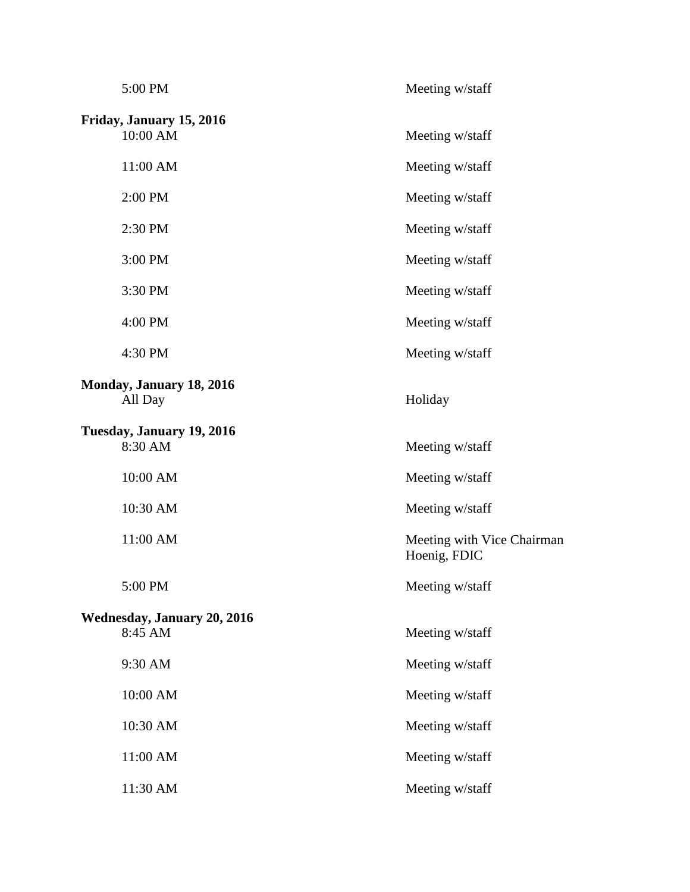| 5:00 PM                                       | Meeting w/staff                            |
|-----------------------------------------------|--------------------------------------------|
| Friday, January 15, 2016<br>10:00 AM          | Meeting w/staff                            |
| 11:00 AM                                      | Meeting w/staff                            |
| 2:00 PM                                       | Meeting w/staff                            |
| 2:30 PM                                       | Meeting w/staff                            |
| 3:00 PM                                       | Meeting w/staff                            |
| 3:30 PM                                       | Meeting w/staff                            |
| 4:00 PM                                       | Meeting w/staff                            |
| 4:30 PM                                       | Meeting w/staff                            |
| Monday, January 18, 2016<br>All Day           | Holiday                                    |
| Tuesday, January 19, 2016<br>8:30 AM          | Meeting w/staff                            |
| 10:00 AM                                      | Meeting w/staff                            |
| 10:30 AM                                      | Meeting w/staff                            |
| 11:00 AM                                      | Meeting with Vice Chairman<br>Hoenig, FDIC |
| 5:00 PM                                       | Meeting w/staff                            |
| <b>Wednesday, January 20, 2016</b><br>8:45 AM | Meeting w/staff                            |
| 9:30 AM                                       | Meeting w/staff                            |
| 10:00 AM                                      | Meeting w/staff                            |
| 10:30 AM                                      | Meeting w/staff                            |
| 11:00 AM                                      | Meeting w/staff                            |
| 11:30 AM                                      | Meeting w/staff                            |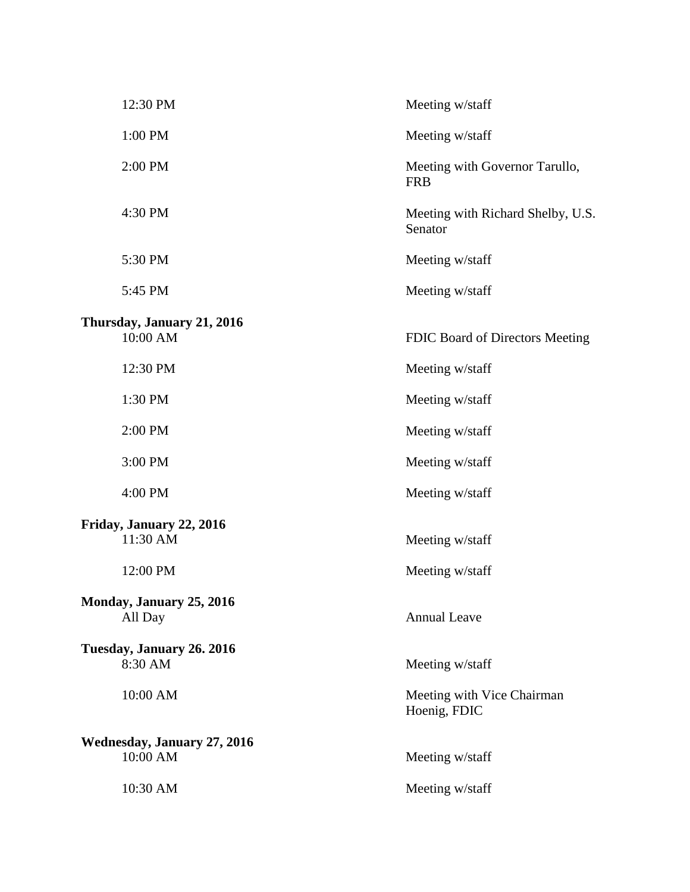| 12:30 PM                                       | Meeting w/staff                              |
|------------------------------------------------|----------------------------------------------|
| 1:00 PM                                        | Meeting w/staff                              |
| 2:00 PM                                        | Meeting with Governor Tarullo,<br><b>FRB</b> |
| 4:30 PM                                        | Meeting with Richard Shelby, U.S.<br>Senator |
| 5:30 PM                                        | Meeting w/staff                              |
| 5:45 PM                                        | Meeting w/staff                              |
| Thursday, January 21, 2016<br>10:00 AM         | FDIC Board of Directors Meeting              |
| 12:30 PM                                       | Meeting w/staff                              |
| 1:30 PM                                        | Meeting w/staff                              |
| 2:00 PM                                        | Meeting w/staff                              |
| 3:00 PM                                        | Meeting w/staff                              |
| 4:00 PM                                        | Meeting w/staff                              |
| Friday, January 22, 2016<br>11:30 AM           | Meeting w/staff                              |
| 12:00 PM                                       | Meeting w/staff                              |
| Monday, January 25, 2016<br>All Day            | <b>Annual Leave</b>                          |
| Tuesday, January 26. 2016<br>8:30 AM           | Meeting w/staff                              |
| 10:00 AM                                       | Meeting with Vice Chairman<br>Hoenig, FDIC   |
| <b>Wednesday, January 27, 2016</b><br>10:00 AM | Meeting w/staff                              |
| 10:30 AM                                       | Meeting w/staff                              |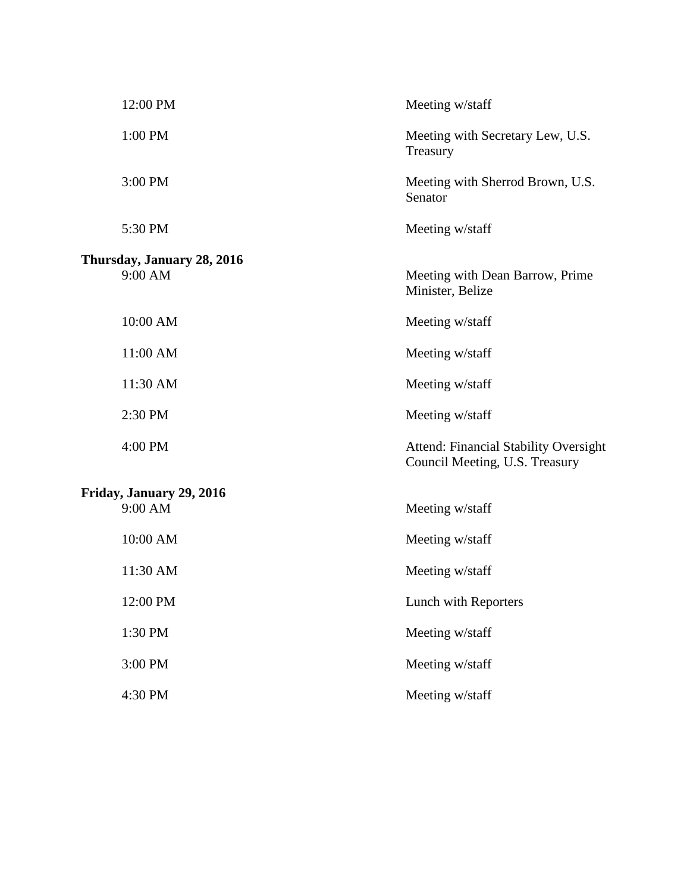| 12:00 PM                              | Meeting w/staff                                                                |
|---------------------------------------|--------------------------------------------------------------------------------|
| 1:00 PM                               | Meeting with Secretary Lew, U.S.<br>Treasury                                   |
| 3:00 PM                               | Meeting with Sherrod Brown, U.S.<br>Senator                                    |
| 5:30 PM                               | Meeting w/staff                                                                |
| Thursday, January 28, 2016<br>9:00 AM | Meeting with Dean Barrow, Prime<br>Minister, Belize                            |
| 10:00 AM                              | Meeting w/staff                                                                |
| 11:00 AM                              | Meeting w/staff                                                                |
| 11:30 AM                              | Meeting w/staff                                                                |
| 2:30 PM                               | Meeting w/staff                                                                |
| 4:00 PM                               | <b>Attend: Financial Stability Oversight</b><br>Council Meeting, U.S. Treasury |
| Friday, January 29, 2016<br>9:00 AM   | Meeting w/staff                                                                |
| 10:00 AM                              | Meeting w/staff                                                                |
| 11:30 AM                              | Meeting w/staff                                                                |
| 12:00 PM                              | Lunch with Reporters                                                           |
| 1:30 PM                               | Meeting w/staff                                                                |
| 3:00 PM                               | Meeting w/staff                                                                |
| 4:30 PM                               | Meeting w/staff                                                                |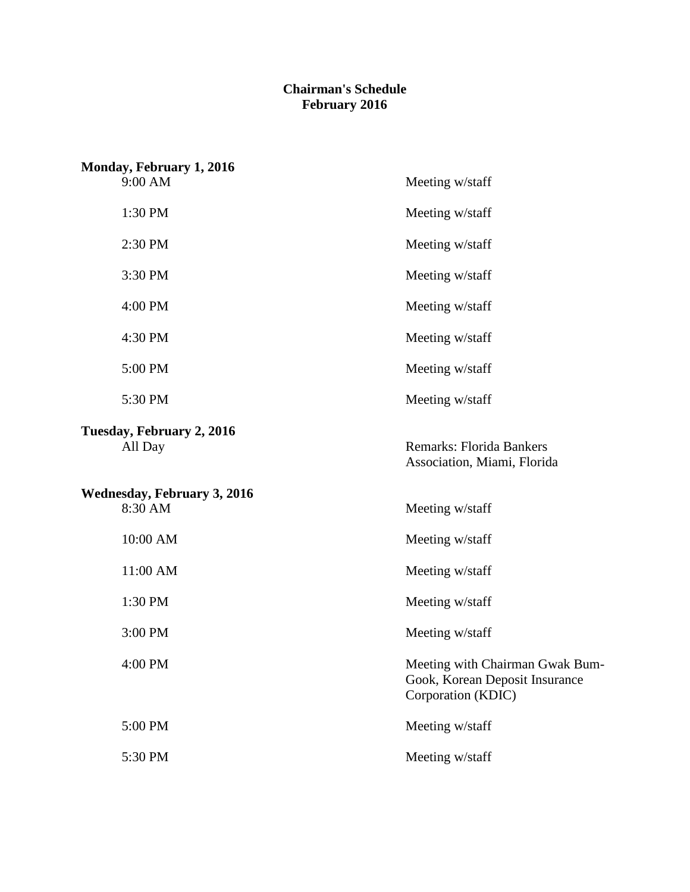## **February 2016 Chairman's Schedule**

| Monday, February 1, 2016                      |                                                                                         |
|-----------------------------------------------|-----------------------------------------------------------------------------------------|
| 9:00 AM                                       | Meeting w/staff                                                                         |
| 1:30 PM                                       | Meeting w/staff                                                                         |
| 2:30 PM                                       | Meeting w/staff                                                                         |
| 3:30 PM                                       | Meeting w/staff                                                                         |
| 4:00 PM                                       | Meeting w/staff                                                                         |
| 4:30 PM                                       | Meeting w/staff                                                                         |
| 5:00 PM                                       | Meeting w/staff                                                                         |
| 5:30 PM                                       | Meeting w/staff                                                                         |
| Tuesday, February 2, 2016<br>All Day          | <b>Remarks: Florida Bankers</b><br>Association, Miami, Florida                          |
| <b>Wednesday, February 3, 2016</b><br>8:30 AM | Meeting w/staff                                                                         |
| 10:00 AM                                      | Meeting w/staff                                                                         |
| 11:00 AM                                      | Meeting w/staff                                                                         |
| 1:30 PM                                       | Meeting w/staff                                                                         |
| 3:00 PM                                       | Meeting w/staff                                                                         |
| 4:00 PM                                       | Meeting with Chairman Gwak Bum-<br>Gook, Korean Deposit Insurance<br>Corporation (KDIC) |
| 5:00 PM                                       | Meeting w/staff                                                                         |
| 5:30 PM                                       | Meeting w/staff                                                                         |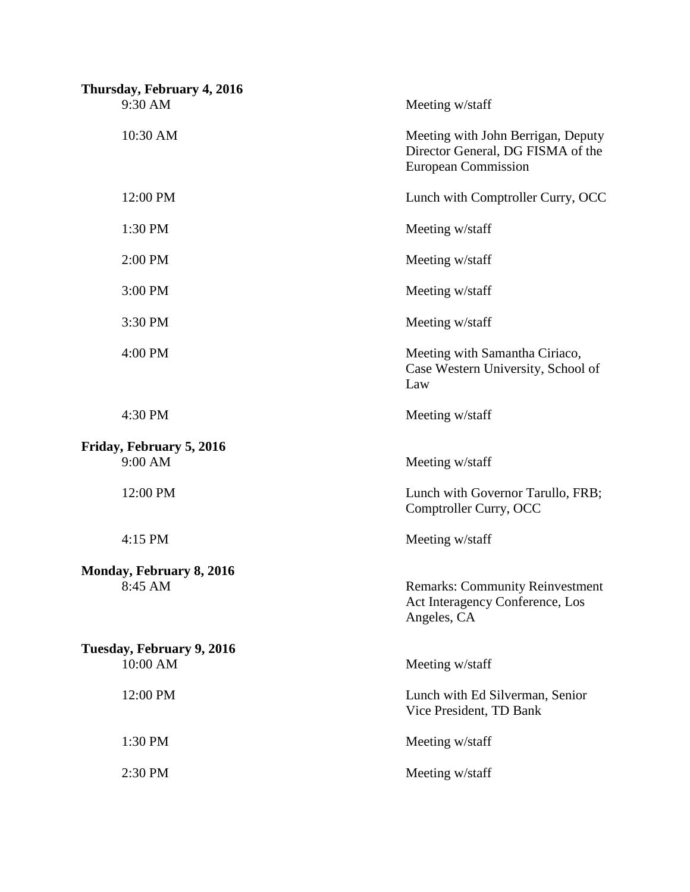| Meeting w/staff                                                                                       |
|-------------------------------------------------------------------------------------------------------|
| Meeting with John Berrigan, Deputy<br>Director General, DG FISMA of the<br><b>European Commission</b> |
| Lunch with Comptroller Curry, OCC                                                                     |
| Meeting w/staff                                                                                       |
| Meeting w/staff                                                                                       |
| Meeting w/staff                                                                                       |
| Meeting w/staff                                                                                       |
| Meeting with Samantha Ciriaco,<br>Case Western University, School of<br>Law                           |
| Meeting w/staff                                                                                       |
| Meeting w/staff                                                                                       |
| Lunch with Governor Tarullo, FRB;<br>Comptroller Curry, OCC                                           |
| Meeting w/staff                                                                                       |
| <b>Remarks: Community Reinvestment</b><br>Act Interagency Conference, Los<br>Angeles, CA              |
| Meeting w/staff                                                                                       |
| Lunch with Ed Silverman, Senior<br>Vice President, TD Bank                                            |
| Meeting w/staff                                                                                       |
| Meeting w/staff                                                                                       |
|                                                                                                       |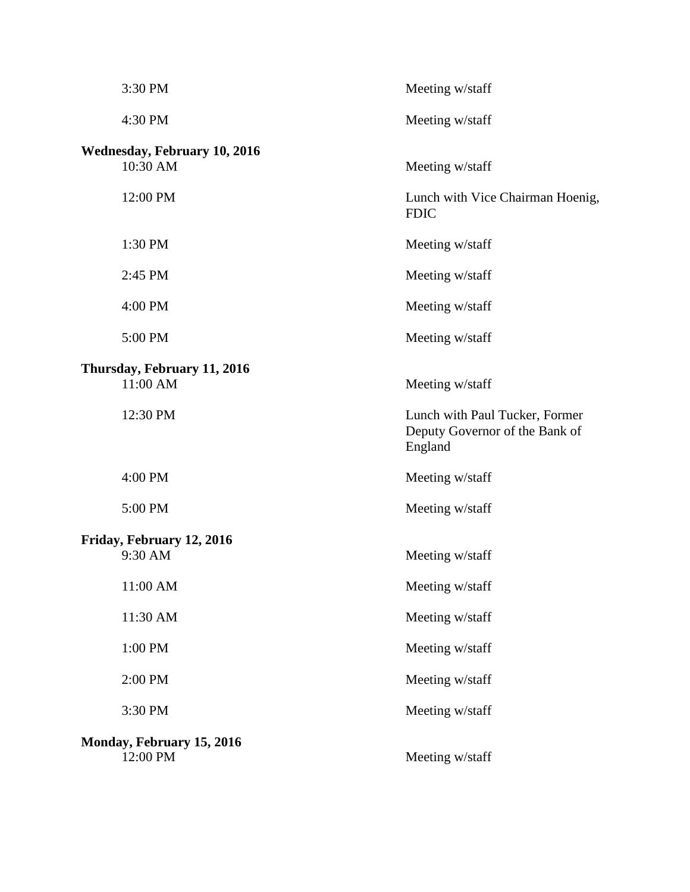|                           | 3:30 PM                                         | Meeting w/staff                                                             |
|---------------------------|-------------------------------------------------|-----------------------------------------------------------------------------|
|                           | 4:30 PM                                         | Meeting w/staff                                                             |
|                           | <b>Wednesday, February 10, 2016</b><br>10:30 AM |                                                                             |
|                           |                                                 | Meeting w/staff                                                             |
|                           | 12:00 PM                                        | Lunch with Vice Chairman Hoenig,<br><b>FDIC</b>                             |
|                           | 1:30 PM                                         | Meeting w/staff                                                             |
|                           | 2:45 PM                                         | Meeting w/staff                                                             |
|                           | 4:00 PM                                         | Meeting w/staff                                                             |
|                           | 5:00 PM                                         | Meeting w/staff                                                             |
|                           | Thursday, February 11, 2016                     |                                                                             |
|                           | 11:00 AM                                        | Meeting w/staff                                                             |
|                           | 12:30 PM                                        | Lunch with Paul Tucker, Former<br>Deputy Governor of the Bank of<br>England |
|                           | 4:00 PM                                         | Meeting w/staff                                                             |
|                           | 5:00 PM                                         | Meeting w/staff                                                             |
|                           | Friday, February 12, 2016                       |                                                                             |
|                           | 9:30 AM                                         | Meeting w/staff                                                             |
|                           | 11:00 AM                                        | Meeting w/staff                                                             |
|                           | 11:30 AM                                        | Meeting w/staff                                                             |
|                           | 1:00 PM                                         | Meeting w/staff                                                             |
|                           | 2:00 PM                                         | Meeting w/staff                                                             |
|                           | 3:30 PM                                         | Meeting w/staff                                                             |
| Monday, February 15, 2016 |                                                 |                                                                             |
|                           | 12:00 PM                                        | Meeting w/staff                                                             |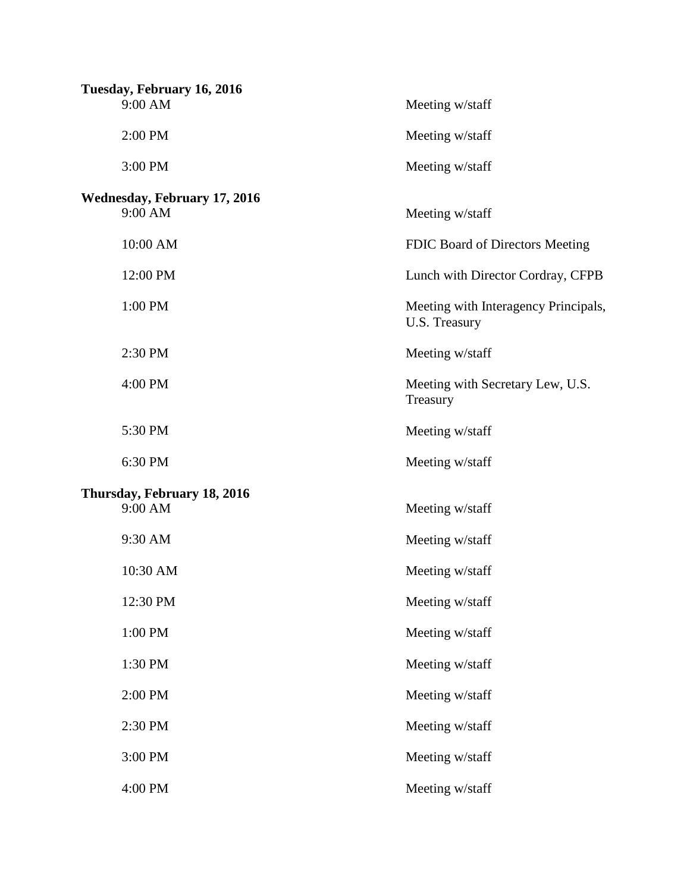| Tuesday, February 16, 2016          |                                                       |  |
|-------------------------------------|-------------------------------------------------------|--|
| 9:00 AM                             | Meeting w/staff                                       |  |
| 2:00 PM                             | Meeting w/staff                                       |  |
| 3:00 PM                             | Meeting w/staff                                       |  |
| <b>Wednesday, February 17, 2016</b> |                                                       |  |
| 9:00 AM                             | Meeting w/staff                                       |  |
| 10:00 AM                            | FDIC Board of Directors Meeting                       |  |
| 12:00 PM                            | Lunch with Director Cordray, CFPB                     |  |
| 1:00 PM                             | Meeting with Interagency Principals,<br>U.S. Treasury |  |
| 2:30 PM                             | Meeting w/staff                                       |  |
| 4:00 PM                             | Meeting with Secretary Lew, U.S.<br>Treasury          |  |
| 5:30 PM                             | Meeting w/staff                                       |  |
| 6:30 PM                             | Meeting w/staff                                       |  |
| Thursday, February 18, 2016         |                                                       |  |
| 9:00 AM                             | Meeting w/staff                                       |  |
| 9:30 AM                             | Meeting w/staff                                       |  |
| 10:30 AM                            | Meeting w/staff                                       |  |
| 12:30 PM                            | Meeting w/staff                                       |  |
| 1:00 PM                             | Meeting w/staff                                       |  |
| 1:30 PM                             | Meeting w/staff                                       |  |
| 2:00 PM                             | Meeting w/staff                                       |  |
| 2:30 PM                             | Meeting w/staff                                       |  |
| 3:00 PM                             | Meeting w/staff                                       |  |
| 4:00 PM                             | Meeting w/staff                                       |  |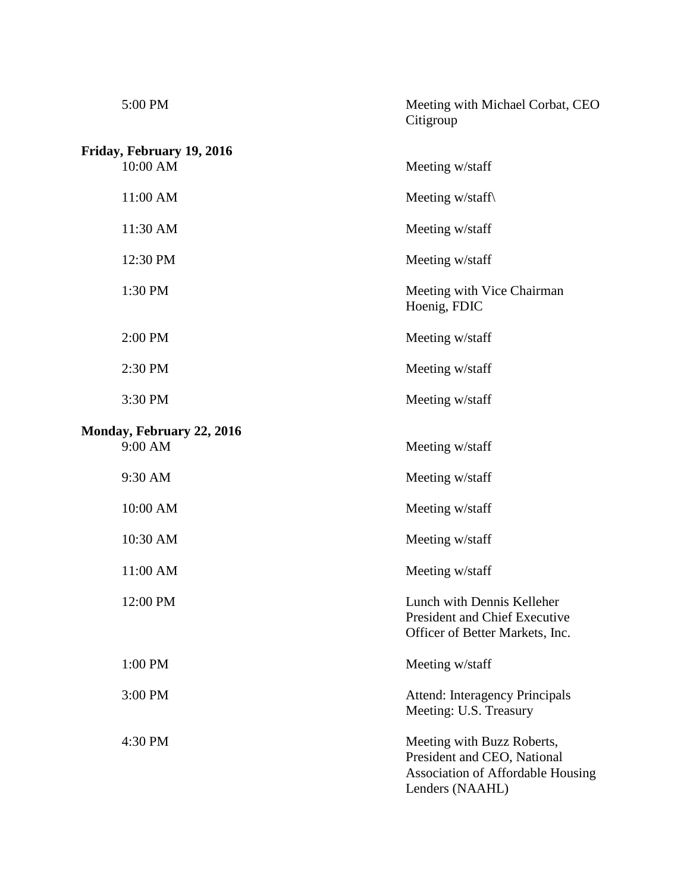| 5:00 PM                   | Meeting with Michael Corbat, CEO<br>Citigroup                                                                            |
|---------------------------|--------------------------------------------------------------------------------------------------------------------------|
| Friday, February 19, 2016 |                                                                                                                          |
| 10:00 AM                  | Meeting w/staff                                                                                                          |
| 11:00 AM                  | Meeting w/staff                                                                                                          |
| 11:30 AM                  | Meeting w/staff                                                                                                          |
| 12:30 PM                  | Meeting w/staff                                                                                                          |
| 1:30 PM                   | Meeting with Vice Chairman<br>Hoenig, FDIC                                                                               |
| 2:00 PM                   | Meeting w/staff                                                                                                          |
| 2:30 PM                   | Meeting w/staff                                                                                                          |
| 3:30 PM                   | Meeting w/staff                                                                                                          |
| Monday, February 22, 2016 |                                                                                                                          |
| 9:00 AM                   | Meeting w/staff                                                                                                          |
| 9:30 AM                   | Meeting w/staff                                                                                                          |
| 10:00 AM                  | Meeting w/staff                                                                                                          |
| 10:30 AM                  | Meeting w/staff                                                                                                          |
| 11:00 AM                  | Meeting w/staff                                                                                                          |
| 12:00 PM                  | Lunch with Dennis Kelleher<br><b>President and Chief Executive</b><br>Officer of Better Markets, Inc.                    |
| 1:00 PM                   | Meeting w/staff                                                                                                          |
| 3:00 PM                   | <b>Attend: Interagency Principals</b><br>Meeting: U.S. Treasury                                                          |
| 4:30 PM                   | Meeting with Buzz Roberts,<br>President and CEO, National<br><b>Association of Affordable Housing</b><br>Lenders (NAAHL) |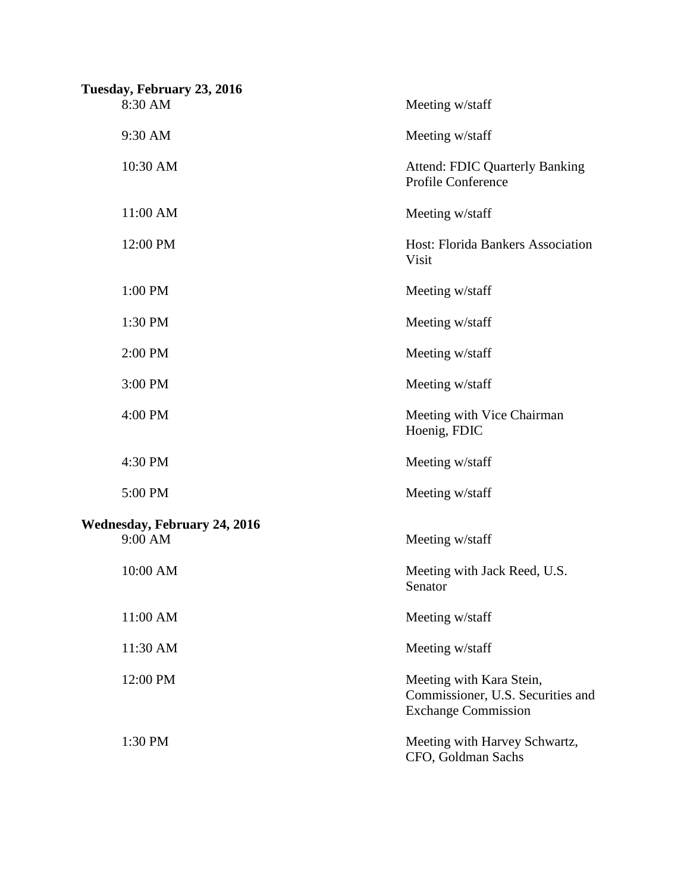| Tuesday, February 23, 2016<br>8:30 AM          | Meeting w/staff                                                                             |
|------------------------------------------------|---------------------------------------------------------------------------------------------|
| 9:30 AM                                        | Meeting w/staff                                                                             |
| 10:30 AM                                       | <b>Attend: FDIC Quarterly Banking</b><br><b>Profile Conference</b>                          |
| 11:00 AM                                       | Meeting w/staff                                                                             |
| 12:00 PM                                       | Host: Florida Bankers Association<br>Visit                                                  |
| 1:00 PM                                        | Meeting w/staff                                                                             |
| 1:30 PM                                        | Meeting w/staff                                                                             |
| 2:00 PM                                        | Meeting w/staff                                                                             |
| 3:00 PM                                        | Meeting w/staff                                                                             |
| 4:00 PM                                        | Meeting with Vice Chairman<br>Hoenig, FDIC                                                  |
| 4:30 PM                                        | Meeting w/staff                                                                             |
| 5:00 PM                                        | Meeting w/staff                                                                             |
| <b>Wednesday, February 24, 2016</b><br>9:00 AM | Meeting w/staff                                                                             |
| 10:00 AM                                       | Meeting with Jack Reed, U.S.<br>Senator                                                     |
| 11:00 AM                                       | Meeting w/staff                                                                             |
| 11:30 AM                                       | Meeting w/staff                                                                             |
| 12:00 PM                                       | Meeting with Kara Stein,<br>Commissioner, U.S. Securities and<br><b>Exchange Commission</b> |
| 1:30 PM                                        | Meeting with Harvey Schwartz,<br>CFO, Goldman Sachs                                         |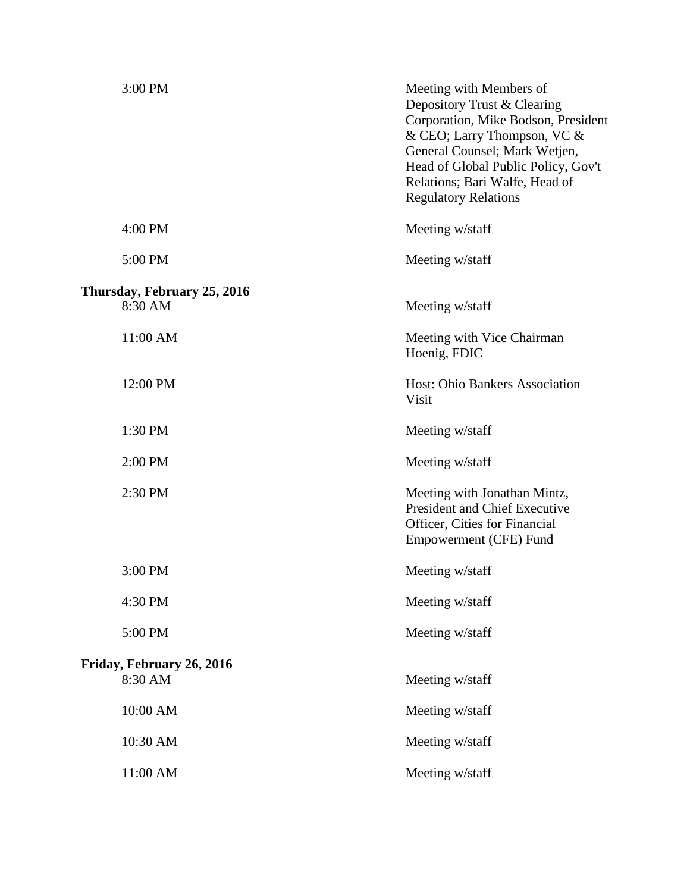| 3:00 PM                                | Meeting with Members of<br>Depository Trust & Clearing<br>Corporation, Mike Bodson, President<br>& CEO; Larry Thompson, VC &<br>General Counsel; Mark Wetjen,<br>Head of Global Public Policy, Gov't<br>Relations; Bari Walfe, Head of<br><b>Regulatory Relations</b> |
|----------------------------------------|-----------------------------------------------------------------------------------------------------------------------------------------------------------------------------------------------------------------------------------------------------------------------|
| 4:00 PM                                | Meeting w/staff                                                                                                                                                                                                                                                       |
| 5:00 PM                                | Meeting w/staff                                                                                                                                                                                                                                                       |
| Thursday, February 25, 2016<br>8:30 AM | Meeting w/staff                                                                                                                                                                                                                                                       |
| 11:00 AM                               | Meeting with Vice Chairman<br>Hoenig, FDIC                                                                                                                                                                                                                            |
| 12:00 PM                               | Host: Ohio Bankers Association<br>Visit                                                                                                                                                                                                                               |
| 1:30 PM                                | Meeting w/staff                                                                                                                                                                                                                                                       |
| 2:00 PM                                | Meeting w/staff                                                                                                                                                                                                                                                       |
| 2:30 PM                                | Meeting with Jonathan Mintz,<br><b>President and Chief Executive</b><br>Officer, Cities for Financial<br>Empowerment (CFE) Fund                                                                                                                                       |
| 3:00 PM                                | Meeting w/staff                                                                                                                                                                                                                                                       |
| 4:30 PM                                | Meeting w/staff                                                                                                                                                                                                                                                       |
| 5:00 PM                                | Meeting w/staff                                                                                                                                                                                                                                                       |
| Friday, February 26, 2016              |                                                                                                                                                                                                                                                                       |
| 8:30 AM                                | Meeting w/staff                                                                                                                                                                                                                                                       |
| 10:00 AM                               | Meeting w/staff                                                                                                                                                                                                                                                       |
| 10:30 AM                               | Meeting w/staff                                                                                                                                                                                                                                                       |
| 11:00 AM                               | Meeting w/staff                                                                                                                                                                                                                                                       |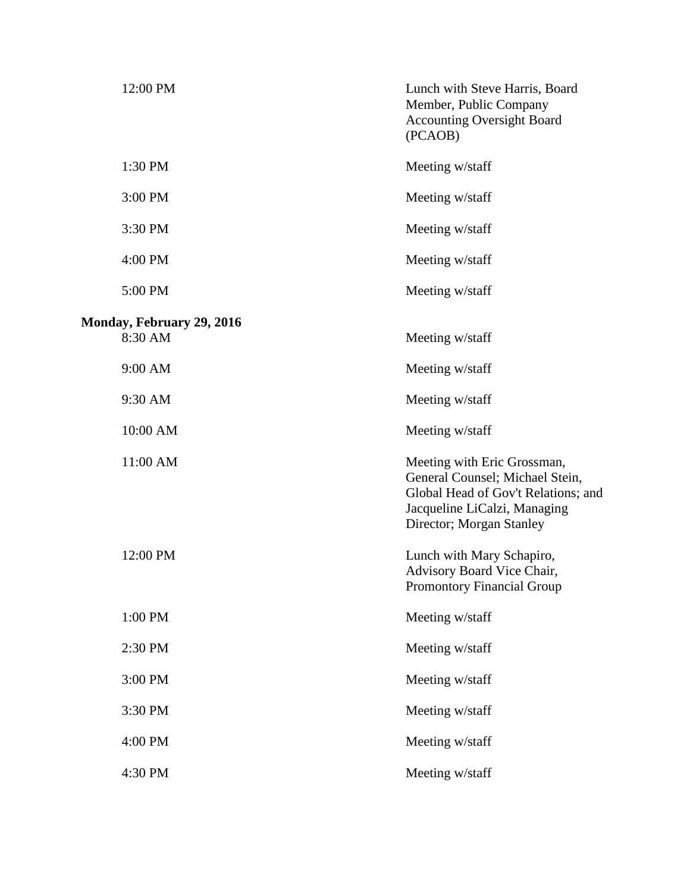| 12:00 PM                         | Lunch with Steve Harris, Board<br>Member, Public Company<br><b>Accounting Oversight Board</b><br>(PCAOB)                                                          |
|----------------------------------|-------------------------------------------------------------------------------------------------------------------------------------------------------------------|
| 1:30 PM                          | Meeting w/staff                                                                                                                                                   |
| 3:00 PM                          | Meeting w/staff                                                                                                                                                   |
| 3:30 PM                          | Meeting w/staff                                                                                                                                                   |
| 4:00 PM                          | Meeting w/staff                                                                                                                                                   |
| 5:00 PM                          | Meeting w/staff                                                                                                                                                   |
| <b>Monday, February 29, 2016</b> |                                                                                                                                                                   |
| 8:30 AM                          | Meeting w/staff                                                                                                                                                   |
| 9:00 AM                          | Meeting w/staff                                                                                                                                                   |
| 9:30 AM                          | Meeting w/staff                                                                                                                                                   |
| 10:00 AM                         | Meeting w/staff                                                                                                                                                   |
| 11:00 AM                         | Meeting with Eric Grossman,<br>General Counsel; Michael Stein,<br>Global Head of Gov't Relations; and<br>Jacqueline LiCalzi, Managing<br>Director; Morgan Stanley |
| 12:00 PM                         | Lunch with Mary Schapiro,<br>Advisory Board Vice Chair,<br><b>Promontory Financial Group</b>                                                                      |
| 1:00 PM                          | Meeting w/staff                                                                                                                                                   |
| 2:30 PM                          | Meeting w/staff                                                                                                                                                   |
| 3:00 PM                          | Meeting w/staff                                                                                                                                                   |
| 3:30 PM                          | Meeting w/staff                                                                                                                                                   |
| 4:00 PM                          | Meeting w/staff                                                                                                                                                   |
| 4:30 PM                          | Meeting w/staff                                                                                                                                                   |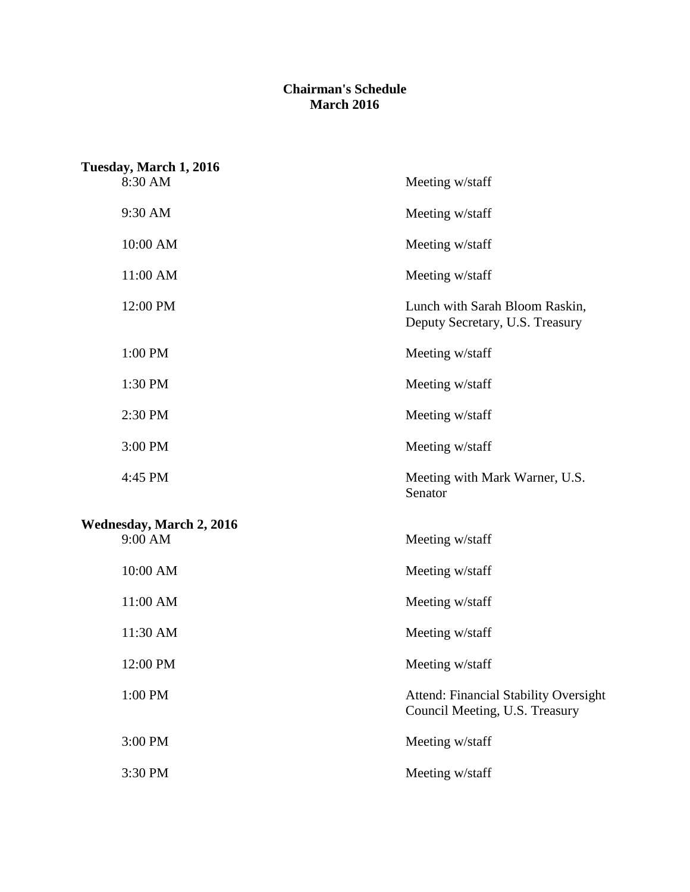## **March 2016 Chairman's Schedule**

| Tuesday, March 1, 2016          |                                                                                |
|---------------------------------|--------------------------------------------------------------------------------|
| 8:30 AM                         | Meeting w/staff                                                                |
| 9:30 AM                         | Meeting w/staff                                                                |
| 10:00 AM                        | Meeting w/staff                                                                |
| 11:00 AM                        | Meeting w/staff                                                                |
| 12:00 PM                        | Lunch with Sarah Bloom Raskin,<br>Deputy Secretary, U.S. Treasury              |
| 1:00 PM                         | Meeting w/staff                                                                |
| 1:30 PM                         | Meeting w/staff                                                                |
| 2:30 PM                         | Meeting w/staff                                                                |
| 3:00 PM                         | Meeting w/staff                                                                |
| 4:45 PM                         | Meeting with Mark Warner, U.S.<br>Senator                                      |
| <b>Wednesday, March 2, 2016</b> |                                                                                |
| 9:00 AM                         | Meeting w/staff                                                                |
| 10:00 AM                        | Meeting w/staff                                                                |
| 11:00 AM                        | Meeting w/staff                                                                |
| 11:30 AM                        | Meeting w/staff                                                                |
| 12:00 PM                        | Meeting w/staff                                                                |
| 1:00 PM                         | <b>Attend: Financial Stability Oversight</b><br>Council Meeting, U.S. Treasury |
| 3:00 PM                         | Meeting w/staff                                                                |
| 3:30 PM                         | Meeting w/staff                                                                |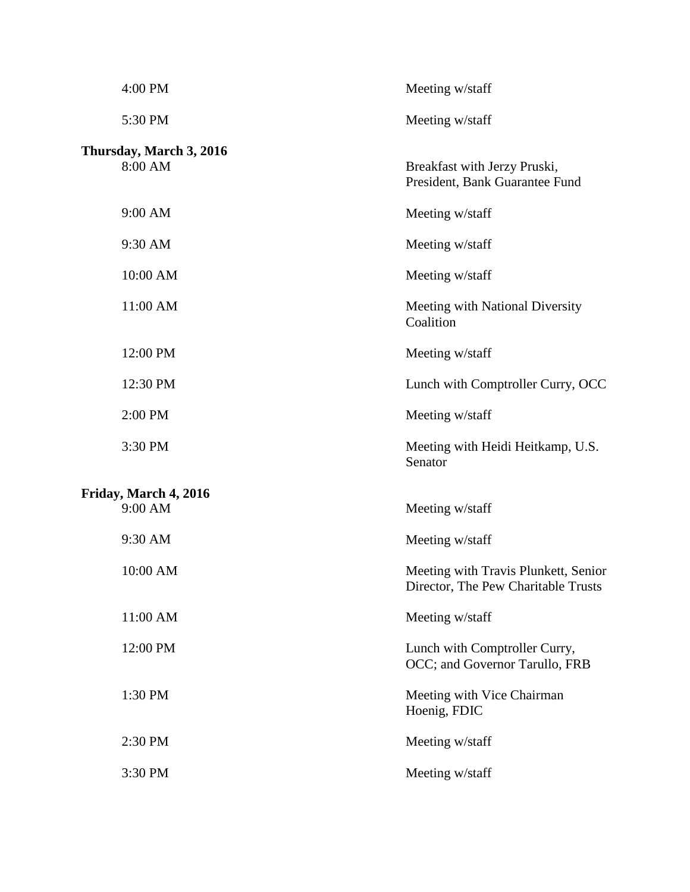| 4:00 PM                            | Meeting w/staff                                                             |
|------------------------------------|-----------------------------------------------------------------------------|
| 5:30 PM                            | Meeting w/staff                                                             |
| Thursday, March 3, 2016<br>8:00 AM | Breakfast with Jerzy Pruski,<br>President, Bank Guarantee Fund              |
| 9:00 AM                            | Meeting w/staff                                                             |
| 9:30 AM                            | Meeting w/staff                                                             |
| 10:00 AM                           | Meeting w/staff                                                             |
| 11:00 AM                           | Meeting with National Diversity<br>Coalition                                |
| 12:00 PM                           | Meeting w/staff                                                             |
| 12:30 PM                           | Lunch with Comptroller Curry, OCC                                           |
| 2:00 PM                            | Meeting w/staff                                                             |
| 3:30 PM                            | Meeting with Heidi Heitkamp, U.S.<br>Senator                                |
| Friday, March 4, 2016              |                                                                             |
| 9:00 AM                            | Meeting w/staff                                                             |
| 9:30 AM                            | Meeting w/staff                                                             |
| 10:00 AM                           | Meeting with Travis Plunkett, Senior<br>Director, The Pew Charitable Trusts |
| 11:00 AM                           | Meeting w/staff                                                             |
| 12:00 PM                           | Lunch with Comptroller Curry,<br>OCC; and Governor Tarullo, FRB             |
| 1:30 PM                            | Meeting with Vice Chairman<br>Hoenig, FDIC                                  |
| 2:30 PM                            | Meeting w/staff                                                             |
| 3:30 PM                            | Meeting w/staff                                                             |
|                                    |                                                                             |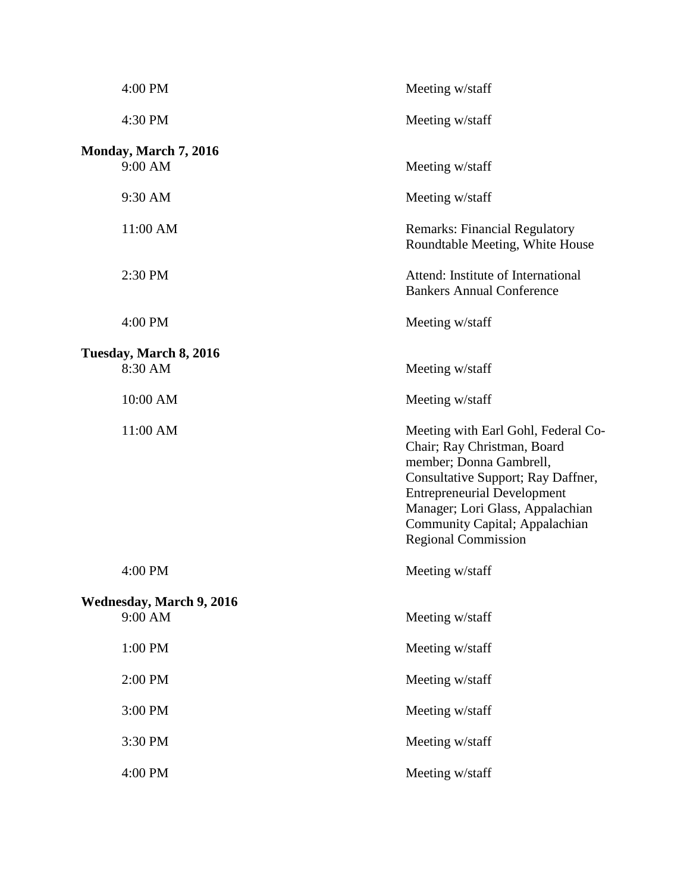| 4:00 PM                                    | Meeting w/staff                                                                                                                                                                                                                                                               |
|--------------------------------------------|-------------------------------------------------------------------------------------------------------------------------------------------------------------------------------------------------------------------------------------------------------------------------------|
| 4:30 PM                                    | Meeting w/staff                                                                                                                                                                                                                                                               |
| Monday, March 7, 2016<br>9:00 AM           | Meeting w/staff                                                                                                                                                                                                                                                               |
| 9:30 AM                                    | Meeting w/staff                                                                                                                                                                                                                                                               |
| 11:00 AM                                   | <b>Remarks: Financial Regulatory</b><br>Roundtable Meeting, White House                                                                                                                                                                                                       |
| 2:30 PM                                    | Attend: Institute of International<br><b>Bankers Annual Conference</b>                                                                                                                                                                                                        |
| 4:00 PM                                    | Meeting w/staff                                                                                                                                                                                                                                                               |
| Tuesday, March 8, 2016<br>8:30 AM          | Meeting w/staff                                                                                                                                                                                                                                                               |
| 10:00 AM                                   | Meeting w/staff                                                                                                                                                                                                                                                               |
| 11:00 AM                                   | Meeting with Earl Gohl, Federal Co-<br>Chair; Ray Christman, Board<br>member; Donna Gambrell,<br>Consultative Support; Ray Daffner,<br><b>Entrepreneurial Development</b><br>Manager; Lori Glass, Appalachian<br>Community Capital; Appalachian<br><b>Regional Commission</b> |
| 4:00 PM                                    | Meeting w/staff                                                                                                                                                                                                                                                               |
| <b>Wednesday, March 9, 2016</b><br>9:00 AM | Meeting w/staff                                                                                                                                                                                                                                                               |
| 1:00 PM                                    | Meeting w/staff                                                                                                                                                                                                                                                               |
| 2:00 PM                                    | Meeting w/staff                                                                                                                                                                                                                                                               |
| 3:00 PM                                    | Meeting w/staff                                                                                                                                                                                                                                                               |
| 3:30 PM                                    | Meeting w/staff                                                                                                                                                                                                                                                               |
| 4:00 PM                                    | Meeting w/staff                                                                                                                                                                                                                                                               |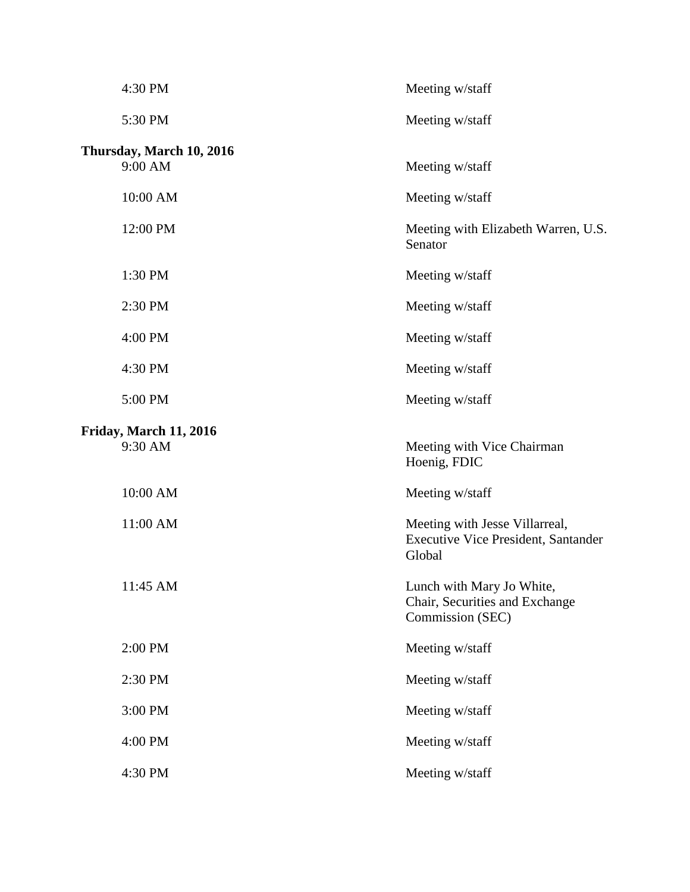| 4:30 PM                             | Meeting w/staff                                                                        |
|-------------------------------------|----------------------------------------------------------------------------------------|
| 5:30 PM                             | Meeting w/staff                                                                        |
| Thursday, March 10, 2016<br>9:00 AM | Meeting w/staff                                                                        |
| 10:00 AM                            | Meeting w/staff                                                                        |
| 12:00 PM                            | Meeting with Elizabeth Warren, U.S.<br>Senator                                         |
| 1:30 PM                             | Meeting w/staff                                                                        |
| 2:30 PM                             | Meeting w/staff                                                                        |
| 4:00 PM                             | Meeting w/staff                                                                        |
| 4:30 PM                             | Meeting w/staff                                                                        |
| 5:00 PM                             | Meeting w/staff                                                                        |
| Friday, March 11, 2016<br>9:30 AM   | Meeting with Vice Chairman<br>Hoenig, FDIC                                             |
| 10:00 AM                            | Meeting w/staff                                                                        |
| 11:00 AM                            | Meeting with Jesse Villarreal,<br><b>Executive Vice President, Santander</b><br>Global |
| 11:45 AM                            | Lunch with Mary Jo White,<br>Chair, Securities and Exchange<br>Commission (SEC)        |
| 2:00 PM                             | Meeting w/staff                                                                        |
| 2:30 PM                             | Meeting w/staff                                                                        |
| 3:00 PM                             | Meeting w/staff                                                                        |
| 4:00 PM                             | Meeting w/staff                                                                        |
| 4:30 PM                             | Meeting w/staff                                                                        |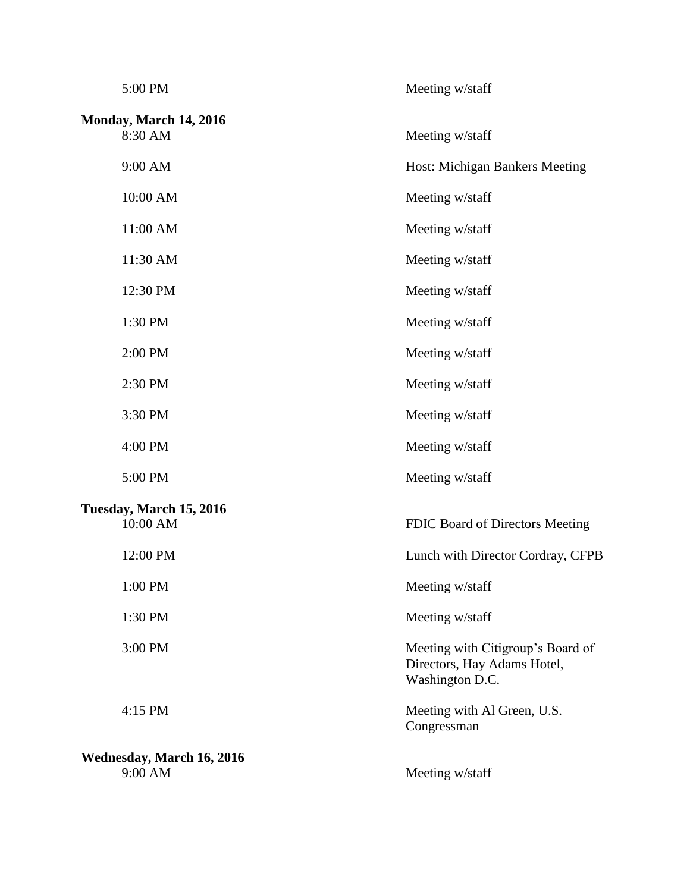| 5:00 PM                              | Meeting w/staff                                                                     |
|--------------------------------------|-------------------------------------------------------------------------------------|
| Monday, March 14, 2016<br>8:30 AM    | Meeting w/staff                                                                     |
| 9:00 AM                              | Host: Michigan Bankers Meeting                                                      |
| 10:00 AM                             | Meeting w/staff                                                                     |
| 11:00 AM                             | Meeting w/staff                                                                     |
| 11:30 AM                             | Meeting w/staff                                                                     |
| 12:30 PM                             | Meeting w/staff                                                                     |
| 1:30 PM                              | Meeting w/staff                                                                     |
| 2:00 PM                              | Meeting w/staff                                                                     |
| 2:30 PM                              | Meeting w/staff                                                                     |
| 3:30 PM                              | Meeting w/staff                                                                     |
| 4:00 PM                              | Meeting w/staff                                                                     |
| 5:00 PM                              | Meeting w/staff                                                                     |
| Tuesday, March 15, 2016<br>10:00 AM  | FDIC Board of Directors Meeting                                                     |
| 12:00 PM                             | Lunch with Director Cordray, CFPB                                                   |
| 1:00 PM                              | Meeting w/staff                                                                     |
| 1:30 PM                              | Meeting w/staff                                                                     |
| 3:00 PM                              | Meeting with Citigroup's Board of<br>Directors, Hay Adams Hotel,<br>Washington D.C. |
| 4:15 PM                              | Meeting with Al Green, U.S.<br>Congressman                                          |
| Wednesday, March 16, 2016<br>9:00 AM | Meeting w/staff                                                                     |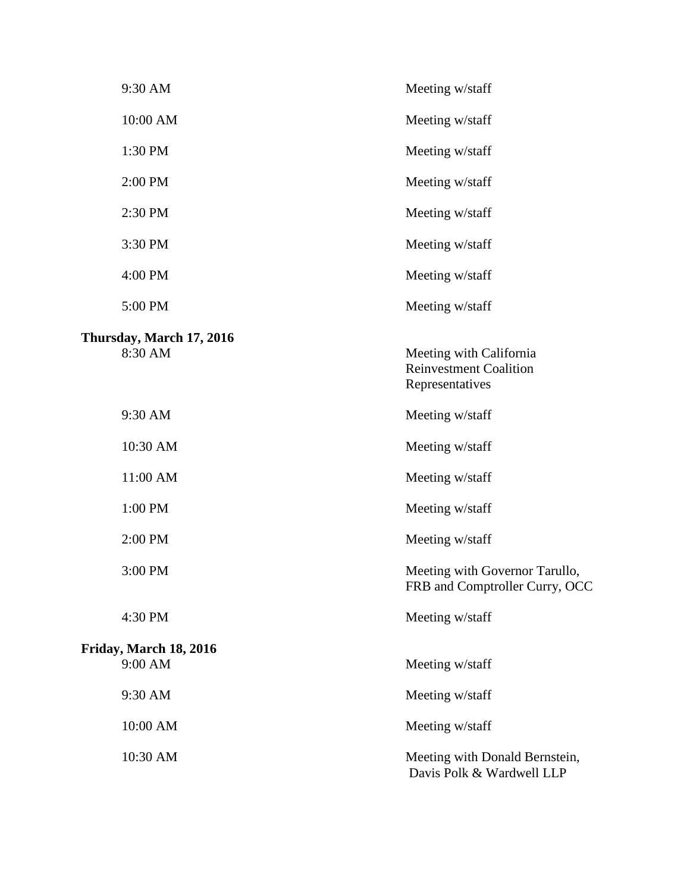| 9:30 AM                             | Meeting w/staff                                                             |
|-------------------------------------|-----------------------------------------------------------------------------|
| 10:00 AM                            | Meeting w/staff                                                             |
| 1:30 PM                             | Meeting w/staff                                                             |
| 2:00 PM                             | Meeting w/staff                                                             |
| 2:30 PM                             | Meeting w/staff                                                             |
| 3:30 PM                             | Meeting w/staff                                                             |
| 4:00 PM                             | Meeting w/staff                                                             |
| 5:00 PM                             | Meeting w/staff                                                             |
| Thursday, March 17, 2016<br>8:30 AM | Meeting with California<br><b>Reinvestment Coalition</b><br>Representatives |
| 9:30 AM                             | Meeting w/staff                                                             |
| 10:30 AM                            | Meeting w/staff                                                             |
| 11:00 AM                            | Meeting w/staff                                                             |
| 1:00 PM                             | Meeting w/staff                                                             |
| 2:00 PM                             | Meeting w/staff                                                             |
| 3:00 PM                             | Meeting with Governor Tarullo,<br>FRB and Comptroller Curry, OCC            |
| 4:30 PM                             | Meeting w/staff                                                             |
| Friday, March 18, 2016<br>9:00 AM   | Meeting w/staff                                                             |
| 9:30 AM                             | Meeting w/staff                                                             |
| 10:00 AM                            | Meeting w/staff                                                             |
| 10:30 AM                            | Meeting with Donald Bernstein,<br>Davis Polk & Wardwell LLP                 |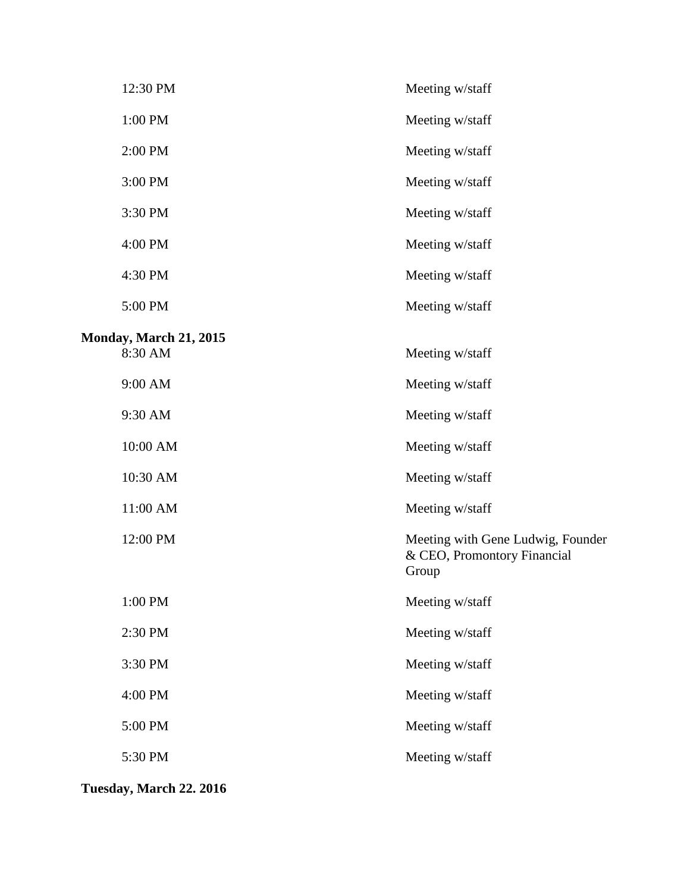| 12:30 PM                                 | Meeting w/staff                                                           |
|------------------------------------------|---------------------------------------------------------------------------|
| 1:00 PM                                  | Meeting w/staff                                                           |
| 2:00 PM                                  | Meeting w/staff                                                           |
| 3:00 PM                                  | Meeting w/staff                                                           |
| 3:30 PM                                  | Meeting w/staff                                                           |
| 4:00 PM                                  | Meeting w/staff                                                           |
| 4:30 PM                                  | Meeting w/staff                                                           |
| 5:00 PM                                  | Meeting w/staff                                                           |
|                                          |                                                                           |
| <b>Monday, March 21, 2015</b><br>8:30 AM | Meeting w/staff                                                           |
| 9:00 AM                                  | Meeting w/staff                                                           |
| 9:30 AM                                  | Meeting w/staff                                                           |
| 10:00 AM                                 | Meeting w/staff                                                           |
| 10:30 AM                                 | Meeting w/staff                                                           |
| 11:00 AM                                 | Meeting w/staff                                                           |
| 12:00 PM                                 | Meeting with Gene Ludwig, Founder<br>& CEO, Promontory Financial<br>Group |
| 1:00 PM                                  | Meeting w/staff                                                           |
| 2:30 PM                                  | Meeting w/staff                                                           |
| 3:30 PM                                  | Meeting w/staff                                                           |
| 4:00 PM                                  | Meeting w/staff                                                           |
| 5:00 PM                                  | Meeting w/staff                                                           |
| 5:30 PM                                  | Meeting w/staff                                                           |
|                                          |                                                                           |

**Tuesday, March 22. 2016**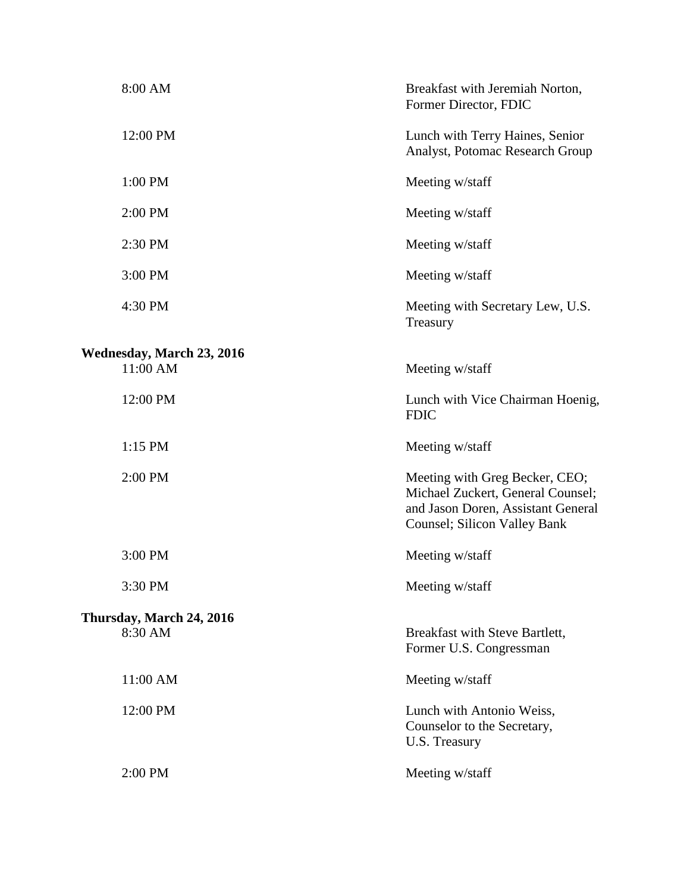| 8:00 AM                               | Breakfast with Jeremiah Norton,<br>Former Director, FDIC                                                                                          |
|---------------------------------------|---------------------------------------------------------------------------------------------------------------------------------------------------|
| 12:00 PM                              | Lunch with Terry Haines, Senior<br>Analyst, Potomac Research Group                                                                                |
| 1:00 PM                               | Meeting w/staff                                                                                                                                   |
| 2:00 PM                               | Meeting w/staff                                                                                                                                   |
| 2:30 PM                               | Meeting w/staff                                                                                                                                   |
| 3:00 PM                               | Meeting w/staff                                                                                                                                   |
| 4:30 PM                               | Meeting with Secretary Lew, U.S.<br>Treasury                                                                                                      |
| Wednesday, March 23, 2016<br>11:00 AM | Meeting w/staff                                                                                                                                   |
| 12:00 PM                              | Lunch with Vice Chairman Hoenig,<br><b>FDIC</b>                                                                                                   |
| $1:15$ PM                             | Meeting w/staff                                                                                                                                   |
| 2:00 PM                               | Meeting with Greg Becker, CEO;<br>Michael Zuckert, General Counsel;<br>and Jason Doren, Assistant General<br><b>Counsel</b> ; Silicon Valley Bank |
| 3:00 PM                               | Meeting w/staff                                                                                                                                   |
| 3:30 PM                               | Meeting w/staff                                                                                                                                   |
| Thursday, March 24, 2016<br>8:30 AM   | Breakfast with Steve Bartlett,<br>Former U.S. Congressman                                                                                         |
| 11:00 AM                              | Meeting w/staff                                                                                                                                   |
| 12:00 PM                              | Lunch with Antonio Weiss,<br>Counselor to the Secretary,<br>U.S. Treasury                                                                         |
| 2:00 PM                               | Meeting w/staff                                                                                                                                   |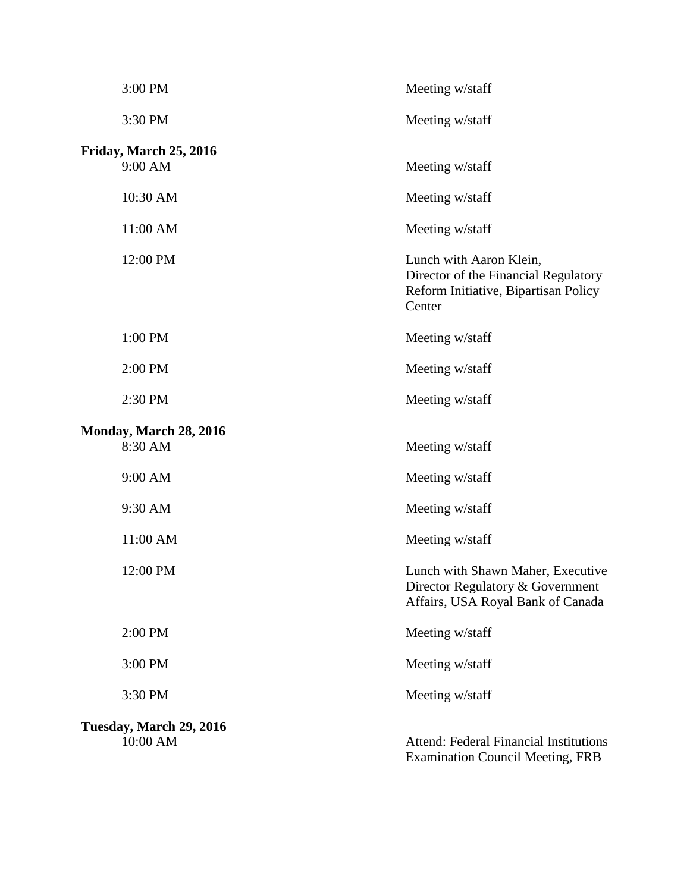| 3:00 PM                             | Meeting w/staff                                                                                                   |
|-------------------------------------|-------------------------------------------------------------------------------------------------------------------|
| 3:30 PM                             | Meeting w/staff                                                                                                   |
| Friday, March 25, 2016<br>9:00 AM   | Meeting w/staff                                                                                                   |
| 10:30 AM                            | Meeting w/staff                                                                                                   |
| 11:00 AM                            | Meeting w/staff                                                                                                   |
| 12:00 PM                            | Lunch with Aaron Klein,<br>Director of the Financial Regulatory<br>Reform Initiative, Bipartisan Policy<br>Center |
| 1:00 PM                             | Meeting w/staff                                                                                                   |
| 2:00 PM                             | Meeting w/staff                                                                                                   |
| 2:30 PM                             | Meeting w/staff                                                                                                   |
| Monday, March 28, 2016<br>8:30 AM   | Meeting w/staff                                                                                                   |
| 9:00 AM                             | Meeting w/staff                                                                                                   |
| 9:30 AM                             | Meeting w/staff                                                                                                   |
| 11:00 AM                            | Meeting w/staff                                                                                                   |
| 12:00 PM                            | Lunch with Shawn Maher, Executive<br>Director Regulatory & Government<br>Affairs, USA Royal Bank of Canada        |
| 2:00 PM                             | Meeting w/staff                                                                                                   |
| 3:00 PM                             | Meeting w/staff                                                                                                   |
| 3:30 PM                             | Meeting w/staff                                                                                                   |
| Tuesday, March 29, 2016<br>10:00 AM | <b>Attend: Federal Financial Institutions</b><br><b>Examination Council Meeting, FRB</b>                          |